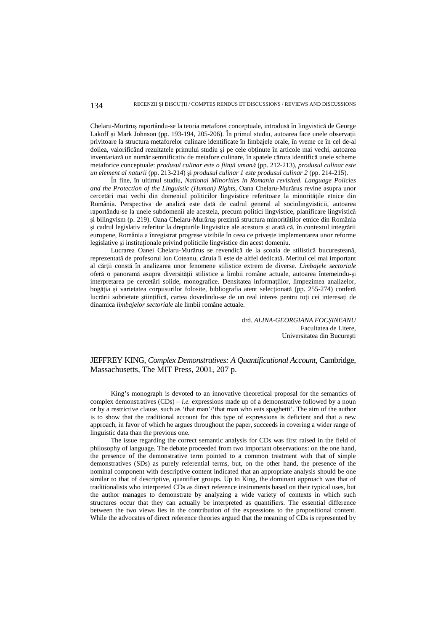Chelaru-Murăruș raportându-se la teoria metaforei conceptuale, introdusă în lingvistică de George Lakoff și Mark Johnson (pp. 193-194, 205-206). În primul studiu, autoarea face unele observații privitoare la structura metaforelor culinare identificate în limbajele orale, în vreme ce în cel de-al doilea, valorificând rezultatele primului studiu și pe cele obținute în articole mai vechi, autoarea inventariază un număr semnificativ de metafore culinare, în spatele cărora identifică unele scheme metaforice conceptuale: *produsul culinar este o ființă umană* (pp. 212-213), *produsul culinar este un element al naturii* (pp. 213-214) și *produsul culinar 1 este produsul culinar 2* (pp. 214-215).

În fine, în ultimul studiu, *National Minorities in Romania revisited. Language Policies and the Protection of the Linguistic (Human) Rights*, Oana Chelaru-Murăruș revine asupra unor cercetări mai vechi din domeniul politicilor lingvistice referitoare la minoritățile etnice din România. Perspectiva de analiză este dată de cadrul general al sociolingvisticii, autoarea raportându-se la unele subdomenii ale acesteia, precum politici lingvistice, planificare lingvistică și bilingvism (p. 219). Oana Chelaru-Murăruș prezintă structura minorităților etnice din România și cadrul legislativ referitor la drepturile lingvistice ale acestora și arată că, în contextul integrării europene, România a înregistrat progrese vizibile în ceea ce privește implementarea unor reforme legislative și instituționale privind politicile lingvistice din acest domeniu.

Lucrarea Oanei Chelaru-Murăruș se revendică de la școala de stilistică bucureșteană, reprezentată de profesorul Ion Coteanu, căruia îi este de altfel dedicată. Meritul cel mai important al cărții constă în analizarea unor fenomene stilistice extrem de diverse. *Limbajele sectoriale*  oferă o panoramă asupra diversității stilistice a limbii române actuale, autoarea întemeindu-și interpretarea pe cercetări solide, monografice. Densitatea informațiilor, limpezimea analizelor, bogăția și varietatea corpusurilor folosite, bibliografia atent selecționată (pp. 255-274) conferă lucrării sobrietate științifică, cartea dovedindu-se de un real interes pentru toți cei interesați de dinamica *limbajelor sectoriale* ale limbii române actuale.

> drd. *ALINA-GEORGIANA FOCȘINEANU* Facultatea de Litere, Universitatea din București

## JEFFREY KING, *Complex Demonstratives: A Quantificational Account*, Cambridge, Massachusetts, The MIT Press, 2001, 207 p.

King's monograph is devoted to an innovative theoretical proposal for the semantics of complex demonstratives  $(CDs) - i.e.$  expressions made up of a demonstrative followed by a noun or by a restrictive clause, such as 'that man'/'that man who eats spaghetti'. The aim of the author is to show that the traditional account for this type of expressions is deficient and that a new approach, in favor of which he argues throughout the paper, succeeds in covering a wider range of linguistic data than the previous one.

The issue regarding the correct semantic analysis for CDs was first raised in the field of philosophy of language. The debate proceeded from two important observations: on the one hand, the presence of the demonstrative term pointed to a common treatment with that of simple demonstratives (SDs) as purely referential terms, but, on the other hand, the presence of the nominal component with descriptive content indicated that an appropriate analysis should be one similar to that of descriptive, quantifier groups. Up to King, the dominant approach was that of traditionalists who interpreted CDs as direct reference instruments based on their typical uses, but the author manages to demonstrate by analyzing a wide variety of contexts in which such structures occur that they can actually be interpreted as quantifiers. The essential difference between the two views lies in the contribution of the expressions to the propositional content. While the advocates of direct reference theories argued that the meaning of CDs is represented by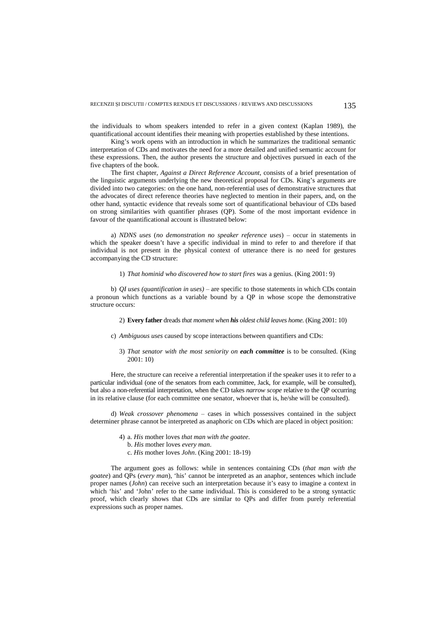the individuals to whom speakers intended to refer in a given context (Kaplan 1989), the quantificational account identifies their meaning with properties established by these intentions.

King's work opens with an introduction in which he summarizes the traditional semantic interpretation of CDs and motivates the need for a more detailed and unified semantic account for these expressions. Then, the author presents the structure and objectives pursued in each of the five chapters of the book.

The first chapter, *Against a Direct Reference Account*, consists of a brief presentation of the linguistic arguments underlying the new theoretical proposal for CDs. King's arguments are divided into two categories: on the one hand, non-referential uses of demonstrative structures that the advocates of direct reference theories have neglected to mention in their papers, and, on the other hand, syntactic evidence that reveals some sort of quantificational behaviour of CDs based on strong similarities with quantifier phrases (QP). Some of the most important evidence in favour of the quantificational account is illustrated below:

a) *NDNS uses* (*no demonstration no speaker reference uses*) – occur in statements in which the speaker doesn't have a specific individual in mind to refer to and therefore if that individual is not present in the physical context of utterance there is no need for gestures accompanying the CD structure:

1) *That hominid who discovered how to start fires* was a genius. (King 2001: 9)

b) *QI uses (quantification in uses)* – are specific to those statements in which CDs contain a pronoun which functions as a variable bound by a QP in whose scope the demonstrative structure occurs:

2) **Every father** dreads *that moment when his oldest child leaves home*. (King 2001: 10)

- c) *Ambiguous uses* caused by scope interactions between quantifiers and CDs:
	- 3) *That senator with the most seniority on each committee* is to be consulted. (King 2001: 10)

Here, the structure can receive a referential interpretation if the speaker uses it to refer to a particular individual (one of the senators from each committee, Jack, for example, will be consulted), but also a non-referential interpretation, when the CD takes *narrow scope* relative to the QP occurring in its relative clause (for each committee one senator, whoever that is, he/she will be consulted).

d) *Weak crossover phenomena* – cases in which possessives contained in the subject determiner phrase cannot be interpreted as anaphoric on CDs which are placed in object position:

- 4) a. *His* mother loves *that man with the goatee*.
	- b. *His* mother loves *every man*.
	- c. *His* mother loves *John*. (King 2001: 18-19)

The argument goes as follows: while in sentences containing CDs (*that man with the goatee*) and QPs (*every man*), 'his' cannot be interpreted as an anaphor, sentences which include proper names (*John*) can receive such an interpretation because it's easy to imagine a context in which 'his' and 'John' refer to the same individual. This is considered to be a strong syntactic proof, which clearly shows that CDs are similar to QPs and differ from purely referential expressions such as proper names.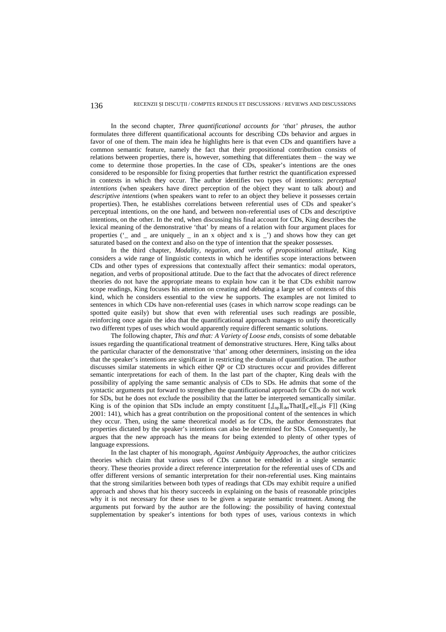## 136 RECENZII ȘI DISCUȚII / COMPTES RENDUS ET DISCUSSIONS / REVIEWS AND DISCUSSIONS

In the second chapter, *Three quantificational accounts for 'that' phrases*, the author formulates three different quantificational accounts for describing CDs behavior and argues in favor of one of them. The main idea he highlights here is that even CDs and quantifiers have a common semantic feature, namely the fact that their propositional contribution consists of relations between properties, there is, however, something that differentiates them – the way we come to determine those properties. In the case of CDs, speaker's intentions are the ones considered to be responsible for fixing properties that further restrict the quantification expressed in contexts in which they occur. The author identifies two types of intentions: *perceptual intentions* (when speakers have direct perception of the object they want to talk about) and *descriptive intentions* (when speakers want to refer to an object they believe it possesses certain properties). Then, he establishes correlations between referential uses of CDs and speaker's perceptual intentions, on the one hand, and between non-referential uses of CDs and descriptive intentions, on the other. In the end, when discussing his final account for CDs, King describes the lexical meaning of the demonstrative 'that' by means of a relation with four argument places for properties  $('_$  and  $_$  are uniquely  $_$  in an x object and x is  $_$ ) and shows how they can get saturated based on the context and also on the type of intention that the speaker possesses.

In the third chapter, *Modality, negation, and verbs of propositional attitude*, King considers a wide range of linguistic contexts in which he identifies scope interactions between CDs and other types of expressions that contextually affect their semantics: modal operators, negation, and verbs of propositional attitude. Due to the fact that the advocates of direct reference theories do not have the appropriate means to explain how can it be that CDs exhibit narrow scope readings, King focuses his attention on creating and debating a large set of contexts of this kind, which he considers essential to the view he supports. The examples are not limited to sentences in which CDs have non-referential uses (cases in which narrow scope readings can be spotted quite easily) but show that even with referential uses such readings are possible, reinforcing once again the idea that the quantificational approach manages to unify theoretically two different types of uses which would apparently require different semantic solutions.

The following chapter, *This and that: A Variety of Loose ends*, consists of some debatable issues regarding the quantificational treatment of demonstrative structures. Here, King talks about the particular character of the demonstrative 'that' among other determiners, insisting on the idea that the speaker's intentions are significant in restricting the domain of quantification. The author discusses similar statements in which either QP or CD structures occur and provides different semantic interpretations for each of them. In the last part of the chapter, King deals with the possibility of applying the same semantic analysis of CDs to SDs. He admits that some of the syntactic arguments put forward to strengthen the quantificational approach for CDs do not work for SDs, but he does not exclude the possibility that the latter be interpreted semantically similar. King is of the opinion that SDs include an empty constituent  $[\int_{\text{Lap}}][\int_{\text{det}} \text{That}][\int_{\text{Lap}}]$  (King 2001: 141), which has a great contribution on the propositional content of the sentences in which they occur. Then, using the same theoretical model as for CDs, the author demonstrates that properties dictated by the speaker's intentions can also be determined for SDs. Consequently, he argues that the new approach has the means for being extended to plenty of other types of language expressions.

In the last chapter of his monograph, *Against Ambiguity Approaches*, the author criticizes theories which claim that various uses of CDs cannot be embedded in a single semantic theory. These theories provide a direct reference interpretation for the referential uses of CDs and offer different versions of semantic interpretation for their non-referential uses. King maintains that the strong similarities between both types of readings that CDs may exhibit require a unified approach and shows that his theory succeeds in explaining on the basis of reasonable principles why it is not necessary for these uses to be given a separate semantic treatment. Among the arguments put forward by the author are the following: the possibility of having contextual supplementation by speaker's intentions for both types of uses, various contexts in which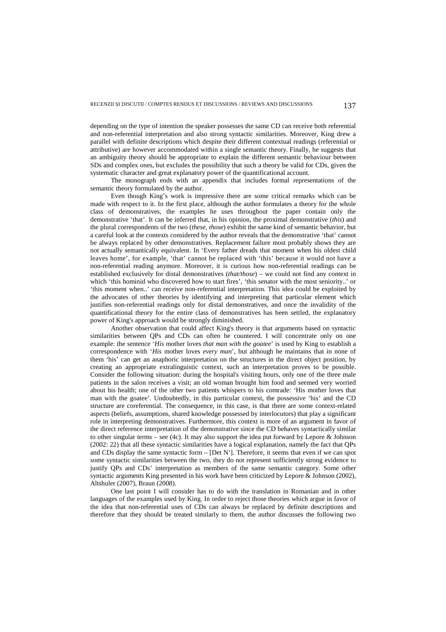depending on the type of intention the speaker possesses the same CD can receive both referential and non-referential interpretation and also strong syntactic similarities. Moreover, King drew a parallel with definite descriptions which despite their different contextual readings (referential or attributive) are however accommodated within a single semantic theory. Finally, he suggests that an ambiguity theory should be appropriate to explain the different semantic behaviour between SDs and complex ones, but excludes the possibility that such a theory be valid for CDs, given the systematic character and great explanatory power of the quantificational account.

The monograph ends with an appendix that includes formal representations of the semantic theory formulated by the author.

Even though King's work is impressive there are some critical remarks which can be made with respect to it. In the first place, although the author formulates a theory for the whole class of demonstratives, the examples he uses throughout the paper contain only the demonstrative 'that'. It can be inferred that, in his opinion, the proximal demonstrative (*this*) and the plural correspondents of the two (*these, those*) exhibit the same kind of semantic behavior, but a careful look at the contexts considered by the author reveals that the demonstrative 'that' cannot be always replaced by other demonstratives. Replacement failure most probably shows they are not actually semantically equivalent. In 'Every father dreads that moment when his oldest child leaves home', for example, 'that' cannot be replaced with 'this' because it would not have a non-referential reading anymore. Moreover, it is curious how non-referential readings can be established exclusively for distal demonstratives (*that/those*) – we could not find any context in which 'this hominid who discovered how to start fires', 'this senator with the most seniority..' or 'this moment when..' can receive non-referential interpretation. This idea could be exploited by the advocates of other theories by identifying and interpreting that particular element which justifies non-referential readings only for distal demonstratives, and once the invalidity of the quantificational theory for the entire class of demonstratives has been settled, the explanatory power of King's approach would be strongly diminished.

Another observation that could affect King's theory is that arguments based on syntactic similarities between OPs and CDs can often be countered. I will concentrate only on one example: the sentence '*His* mother loves *that man with the goatee*' is used by King to establish a correspondence with '*His* mother loves *every man*', but although he maintains that in none of them 'his' can get an anaphoric interpretation on the structures in the direct object position, by creating an appropriate extralinguistic context, such an interpretation proves to be possible. Consider the following situation: during the hospital's visiting hours, only one of the three male patients in the salon receives a visit; an old woman brought him food and seemed very worried about his health; one of the other two patients whispers to his comrade: 'His mother loves that man with the goatee'. Undoubtedly, in this particular context, the possessive 'his' and the CD structure are coreferential. The consequence, in this case, is that there are some context-related aspects (beliefs, assumptions, shared knowledge possessed by interlocutors) that play a significant role in interpreting demonstratives. Furthermore, this context is more of an argument in favor of the direct reference interpretation of the demonstrative since the CD behaves syntactically similar to other singular terms – see (4c). It may also support the idea put forward by Lepore & Johnson (2002: 22) that all these syntactic similarities have a logical explanation, namely the fact that QPs and CDs display the same syntactic form – [Det N']. Therefore, it seems that even if we can spot some syntactic similarities between the two, they do not represent sufficiently strong evidence to justify QPs and CDs' interpretation as members of the same semantic category. Some other syntactic arguments King presented in his work have been criticized by Lepore & Johnson (2002), Altshuler (2007), Braun (2008).

One last point I will consider has to do with the translation in Romanian and in other languages of the examples used by King. In order to reject those theories which argue in favor of the idea that non-referential uses of CDs can always be replaced by definite descriptions and therefore that they should be treated similarly to them, the author discusses the following two